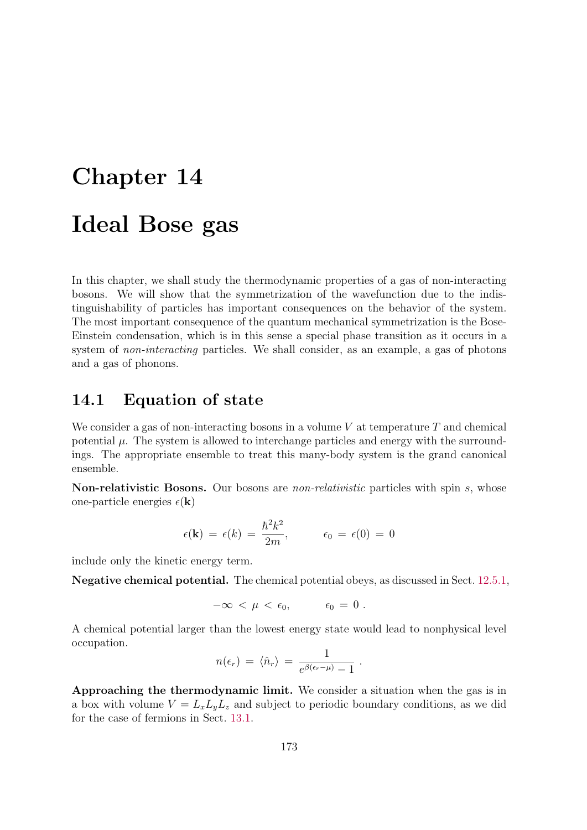# Chapter 14 Ideal Bose gas

In this chapter, we shall study the thermodynamic properties of a gas of non-interacting bosons. We will show that the symmetrization of the wavefunction due to the indistinguishability of particles has important consequences on the behavior of the system. The most important consequence of the quantum mechanical symmetrization is the Bose-Einstein condensation, which is in this sense a special phase transition as it occurs in a system of *non-interacting* particles. We shall consider, as an example, a gas of photons and a gas of phonons.

## 14.1 Equation of state

We consider a gas of non-interacting bosons in a volume  $V$  at temperature  $T$  and chemical potential  $\mu$ . The system is allowed to interchange particles and energy with the surroundings. The appropriate ensemble to treat this many-body system is the grand canonical ensemble.

Non-relativistic Bosons. Our bosons are *non-relativistic* particles with spin s, whose one-particle energies  $\epsilon(\mathbf{k})$ 

$$
\epsilon(\mathbf{k}) = \epsilon(k) = \frac{\hbar^2 k^2}{2m}, \qquad \epsilon_0 = \epsilon(0) = 0
$$

include only the kinetic energy term.

Negative chemical potential. The chemical potential obeys, as discussed in Sect. 12.5.1,

$$
-\infty < \mu < \epsilon_0, \qquad \epsilon_0 = 0 \; .
$$

A chemical potential larger than the lowest energy state would lead to nonphysical level occupation.

$$
n(\epsilon_r) = \langle \hat{n}_r \rangle = \frac{1}{e^{\beta(\epsilon_r - \mu)} - 1}.
$$

Approaching the thermodynamic limit. We consider a situation when the gas is in a box with volume  $V = L_x L_y L_z$  and subject to periodic boundary conditions, as we did for the case of fermions in Sect. 13.1.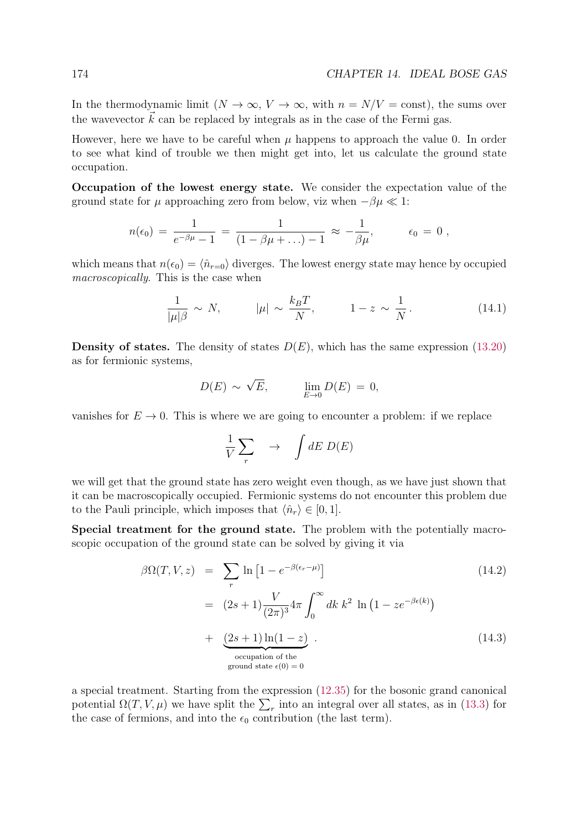In the thermodynamic limit  $(N \to \infty, V \to \infty, \text{ with } n = N/V = \text{const})$ , the sums over the wavevector  $\vec{k}$  can be replaced by integrals as in the case of the Fermi gas.

However, here we have to be careful when  $\mu$  happens to approach the value 0. In order to see what kind of trouble we then might get into, let us calculate the ground state occupation.

Occupation of the lowest energy state. We consider the expectation value of the ground state for  $\mu$  approaching zero from below, viz when  $-\beta\mu \ll 1$ :

$$
n(\epsilon_0) = \frac{1}{e^{-\beta\mu} - 1} = \frac{1}{(1 - \beta\mu + ...) - 1} \approx -\frac{1}{\beta\mu}, \qquad \epsilon_0 = 0,
$$

which means that  $n(\epsilon_0) = \langle \hat{n}_{r=0} \rangle$  diverges. The lowest energy state may hence by occupied macroscopically. This is the case when

$$
\frac{1}{|\mu|\beta} \sim N, \qquad |\mu| \sim \frac{k_B T}{N}, \qquad 1-z \sim \frac{1}{N}.
$$
 (14.1)

**Density of states.** The density of states  $D(E)$ , which has the same expression (13.20) as for fermionic systems,

$$
D(E) \sim \sqrt{E}, \qquad \lim_{E \to 0} D(E) = 0,
$$

vanishes for  $E \to 0$ . This is where we are going to encounter a problem: if we replace

$$
\frac{1}{V} \sum_{r} \longrightarrow \int dE \ D(E)
$$

we will get that the ground state has zero weight even though, as we have just shown that it can be macroscopically occupied. Fermionic systems do not encounter this problem due to the Pauli principle, which imposes that  $\langle \hat{n}_r \rangle \in [0, 1].$ 

Special treatment for the ground state. The problem with the potentially macroscopic occupation of the ground state can be solved by giving it via

$$
\beta \Omega(T, V, z) = \sum_{r} \ln \left[ 1 - e^{-\beta(\epsilon_r - \mu)} \right]
$$
\n
$$
= (2s+1) \frac{V}{(2\pi)^3} 4\pi \int_0^\infty dk \, k^2 \ln \left( 1 - z e^{-\beta \epsilon(k)} \right)
$$
\n
$$
+ \underbrace{(2s+1) \ln(1-z)}_{\text{occupation of the} \atop \text{ground state } \epsilon(0) = 0}.
$$
\n(14.3)

a special treatment. Starting from the expression (12.35) for the bosonic grand canonical potential  $\Omega(T, V, \mu)$  we have split the  $\sum_{r}$  into an integral over all states, as in (13.3) for the case of fermions, and into the  $\epsilon_0$  contribution (the last term).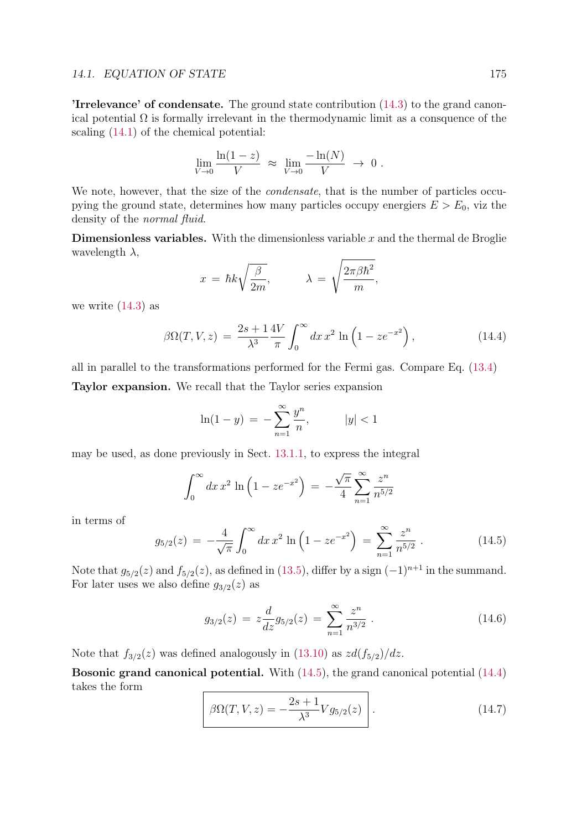#### 14.1. EQUATION OF STATE 175

'Irrelevance' of condensate. The ground state contribution (14.3) to the grand canonical potential  $\Omega$  is formally irrelevant in the thermodynamic limit as a consquence of the scaling (14.1) of the chemical potential:

$$
\lim_{V \to 0} \frac{\ln(1-z)}{V} \approx \lim_{V \to 0} \frac{-\ln(N)}{V} \to 0.
$$

We note, however, that the size of the *condensate*, that is the number of particles occupying the ground state, determines how many particles occupy energiers  $E > E_0$ , viz the density of the normal fluid.

**Dimensionless variables.** With the dimensionless variable  $x$  and the thermal de Broglie wavelength  $\lambda$ ,

$$
x = \hbar k \sqrt{\frac{\beta}{2m}}, \qquad \lambda = \sqrt{\frac{2\pi\beta\hbar^2}{m}},
$$

we write  $(14.3)$  as

$$
\beta \Omega(T, V, z) = \frac{2s + 1}{\lambda^3} \frac{4V}{\pi} \int_0^\infty dx \, x^2 \ln \left( 1 - z e^{-x^2} \right), \tag{14.4}
$$

all in parallel to the transformations performed for the Fermi gas. Compare Eq. (13.4) Taylor expansion. We recall that the Taylor series expansion

$$
\ln(1 - y) = -\sum_{n=1}^{\infty} \frac{y^n}{n}, \qquad |y| < 1
$$

may be used, as done previously in Sect. 13.1.1, to express the integral

$$
\int_0^\infty dx \, x^2 \, \ln \left( 1 - z e^{-x^2} \right) \, = \, -\frac{\sqrt{\pi}}{4} \sum_{n=1}^\infty \frac{z^n}{n^{5/2}}
$$

in terms of

$$
g_{5/2}(z) = -\frac{4}{\sqrt{\pi}} \int_0^\infty dx \, x^2 \ln\left(1 - z e^{-x^2}\right) = \sum_{n=1}^\infty \frac{z^n}{n^{5/2}} \,. \tag{14.5}
$$

Note that  $g_{5/2}(z)$  and  $f_{5/2}(z)$ , as defined in (13.5), differ by a sign  $(-1)^{n+1}$  in the summand. For later uses we also define  $g_{3/2}(z)$  as

$$
g_{3/2}(z) = z \frac{d}{dz} g_{5/2}(z) = \sum_{n=1}^{\infty} \frac{z^n}{n^{3/2}}.
$$
 (14.6)

Note that  $f_{3/2}(z)$  was defined analogously in (13.10) as  $zd(f_{5/2})/dz$ .

Bosonic grand canonical potential. With (14.5), the grand canonical potential (14.4) takes the form

$$
\beta\Omega(T,V,z) = -\frac{2s+1}{\lambda^3} V g_{5/2}(z) \qquad (14.7)
$$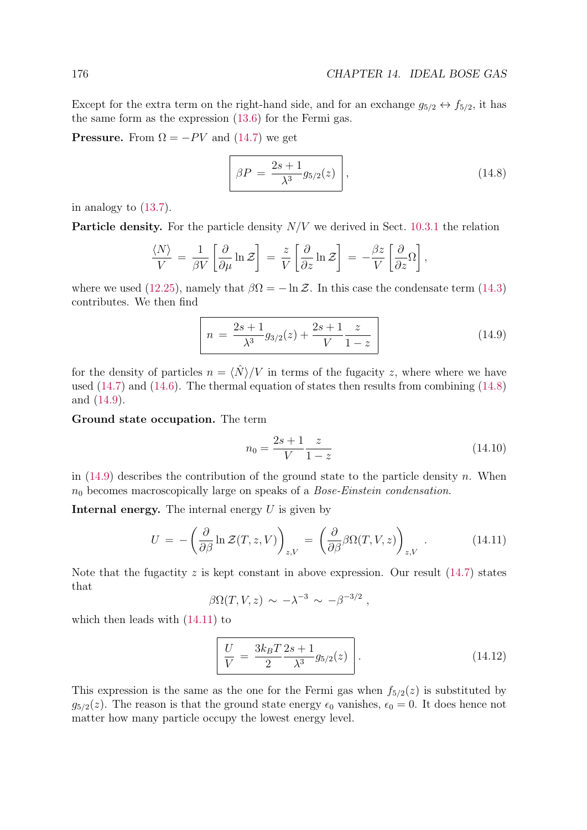Except for the extra term on the right-hand side, and for an exchange  $g_{5/2} \leftrightarrow f_{5/2}$ , it has the same form as the expression (13.6) for the Fermi gas.

**Pressure.** From  $\Omega = -PV$  and (14.7) we get

$$
\beta P = \frac{2s+1}{\lambda^3} g_{5/2}(z) \,, \tag{14.8}
$$

in analogy to (13.7).

**Particle density.** For the particle density  $N/V$  we derived in Sect. 10.3.1 the relation

$$
\frac{\langle N \rangle}{V} = \frac{1}{\beta V} \left[ \frac{\partial}{\partial \mu} \ln \mathcal{Z} \right] = \frac{z}{V} \left[ \frac{\partial}{\partial z} \ln \mathcal{Z} \right] = -\frac{\beta z}{V} \left[ \frac{\partial}{\partial z} \Omega \right],
$$

where we used (12.25), namely that  $\beta \Omega = -\ln \mathcal{Z}$ . In this case the condensate term (14.3) contributes. We then find

$$
n = \frac{2s+1}{\lambda^3} g_{3/2}(z) + \frac{2s+1}{V} \frac{z}{1-z}
$$
 (14.9)

for the density of particles  $n = \langle \hat{N} \rangle / V$  in terms of the fugacity z, where where we have used (14.7) and (14.6). The thermal equation of states then results from combining (14.8) and (14.9).

Ground state occupation. The term

$$
n_0 = \frac{2s+1}{V} \frac{z}{1-z}
$$
\n(14.10)

in  $(14.9)$  describes the contribution of the ground state to the particle density n. When  $n_0$  becomes macroscopically large on speaks of a *Bose-Einstein condensation*.

**Internal energy.** The internal energy  $U$  is given by

$$
U = -\left(\frac{\partial}{\partial \beta} \ln \mathcal{Z}(T, z, V)\right)_{z, V} = \left(\frac{\partial}{\partial \beta} \beta \Omega(T, V, z)\right)_{z, V} . \tag{14.11}
$$

Note that the fugactity z is kept constant in above expression. Our result  $(14.7)$  states that

$$
\beta \Omega(T, V, z) \sim -\lambda^{-3} \sim -\beta^{-3/2} ,
$$

which then leads with (14.11) to

$$
\frac{U}{V} = \frac{3k_B T}{2} \frac{2s+1}{\lambda^3} g_{5/2}(z) \qquad (14.12)
$$

This expression is the same as the one for the Fermi gas when  $f_{5/2}(z)$  is substituted by  $g_{5/2}(z)$ . The reason is that the ground state energy  $\epsilon_0$  vanishes,  $\epsilon_0 = 0$ . It does hence not matter how many particle occupy the lowest energy level.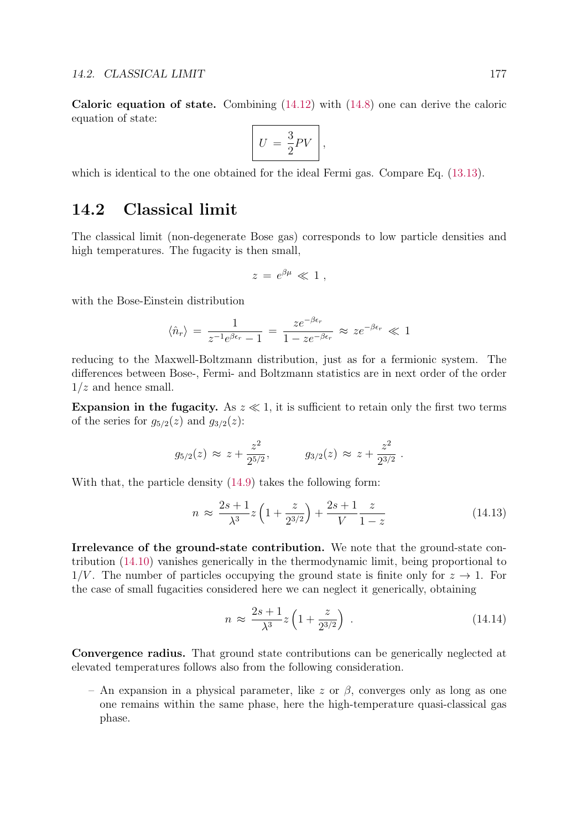Caloric equation of state. Combining  $(14.12)$  with  $(14.8)$  one can derive the caloric equation of state:

$$
U = \frac{3}{2}PV\Bigg\},\
$$

which is identical to the one obtained for the ideal Fermi gas. Compare Eq. (13.13).

### 14.2 Classical limit

The classical limit (non-degenerate Bose gas) corresponds to low particle densities and high temperatures. The fugacity is then small,

$$
z\,=\,e^{\beta\mu}\,\ll\,1\;,
$$

with the Bose-Einstein distribution

$$
\langle \hat{n}_r \rangle = \frac{1}{z^{-1}e^{\beta \epsilon_r} - 1} = \frac{z e^{-\beta \epsilon_r}}{1 - z e^{-\beta \epsilon_r}} \approx z e^{-\beta \epsilon_r} \ll 1
$$

reducing to the Maxwell-Boltzmann distribution, just as for a fermionic system. The differences between Bose-, Fermi- and Boltzmann statistics are in next order of the order  $1/z$  and hence small.

Expansion in the fugacity. As  $z \ll 1$ , it is sufficient to retain only the first two terms of the series for  $g_{5/2}(z)$  and  $g_{3/2}(z)$ :

$$
g_{5/2}(z) \approx z + \frac{z^2}{2^{5/2}},
$$
  $g_{3/2}(z) \approx z + \frac{z^2}{2^{3/2}}.$ 

With that, the particle density (14.9) takes the following form:

$$
n \approx \frac{2s+1}{\lambda^3} z \left( 1 + \frac{z}{2^{3/2}} \right) + \frac{2s+1}{V} \frac{z}{1-z}
$$
 (14.13)

Irrelevance of the ground-state contribution. We note that the ground-state contribution (14.10) vanishes generically in the thermodynamic limit, being proportional to  $1/V$ . The number of particles occupying the ground state is finite only for  $z \to 1$ . For the case of small fugacities considered here we can neglect it generically, obtaining

$$
n \approx \frac{2s+1}{\lambda^3} z \left( 1 + \frac{z}{2^{3/2}} \right) \,. \tag{14.14}
$$

Convergence radius. That ground state contributions can be generically neglected at elevated temperatures follows also from the following consideration.

– An expansion in a physical parameter, like z or  $\beta$ , converges only as long as one one remains within the same phase, here the high-temperature quasi-classical gas phase.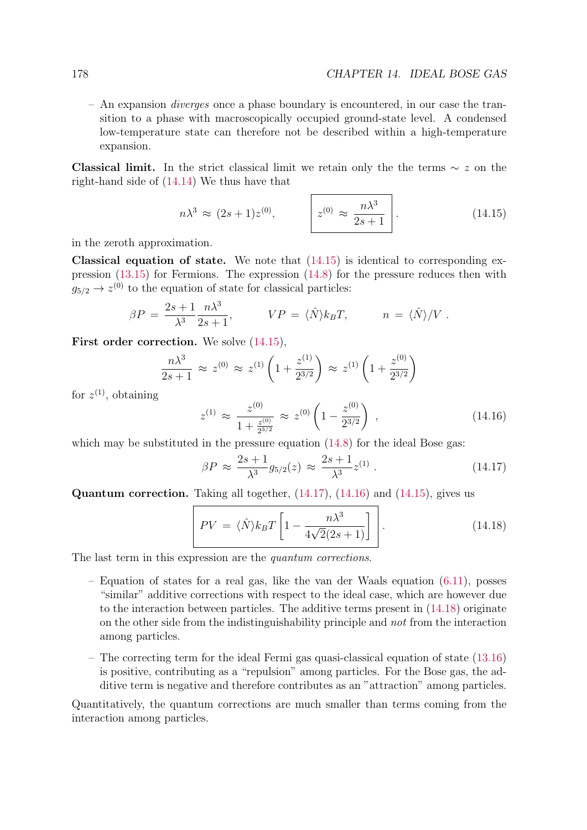– An expansion diverges once a phase boundary is encountered, in our case the transition to a phase with macroscopically occupied ground-state level. A condensed low-temperature state can therefore not be described within a high-temperature expansion.

Classical limit. In the strict classical limit we retain only the the terms  $\sim z$  on the right-hand side of (14.14) We thus have that

$$
n\lambda^3 \approx (2s+1)z^{(0)}, \qquad \bigg| z^{(0)} \approx \frac{n\lambda^3}{2s+1} \bigg| \,. \tag{14.15}
$$

in the zeroth approximation.

**Classical equation of state.** We note that  $(14.15)$  is identical to corresponding expression (13.15) for Fermions. The expression (14.8) for the pressure reduces then with  $q_{5/2} \rightarrow z^{(0)}$  to the equation of state for classical particles:

$$
\beta P = \frac{2s+1}{\lambda^3} \frac{n \lambda^3}{2s+1}, \qquad VP = \langle \hat{N} \rangle k_B T, \qquad n = \langle \hat{N} \rangle / V.
$$

First order correction. We solve  $(14.15)$ ,

$$
\frac{n\lambda^3}{2s+1} \approx z^{(0)} \approx z^{(1)} \left( 1 + \frac{z^{(1)}}{2^{3/2}} \right) \approx z^{(1)} \left( 1 + \frac{z^{(0)}}{2^{3/2}} \right)
$$

for  $z^{(1)}$ , obtaining

$$
z^{(1)} \approx \frac{z^{(0)}}{1 + \frac{z^{(0)}}{2^{3/2}}} \approx z^{(0)} \left( 1 - \frac{z^{(0)}}{2^{3/2}} \right) , \qquad (14.16)
$$

which may be substituted in the pressure equation  $(14.8)$  for the ideal Bose gas:

$$
\beta P \approx \frac{2s+1}{\lambda^3} g_{5/2}(z) \approx \frac{2s+1}{\lambda^3} z^{(1)} \,. \tag{14.17}
$$

Quantum correction. Taking all together, (14.17), (14.16) and (14.15), gives us

$$
PV = \langle \hat{N} \rangle k_B T \left[ 1 - \frac{n \lambda^3}{4\sqrt{2}(2s+1)} \right] \tag{14.18}
$$

The last term in this expression are the *quantum corrections*.

- Equation of states for a real gas, like the van der Waals equation  $(6.11)$ , posses "similar" additive corrections with respect to the ideal case, which are however due to the interaction between particles. The additive terms present in (14.18) originate on the other side from the indistinguishability principle and not from the interaction among particles.
- The correcting term for the ideal Fermi gas quasi-classical equation of state (13.16) is positive, contributing as a "repulsion" among particles. For the Bose gas, the additive term is negative and therefore contributes as an "attraction" among particles.

Quantitatively, the quantum corrections are much smaller than terms coming from the interaction among particles.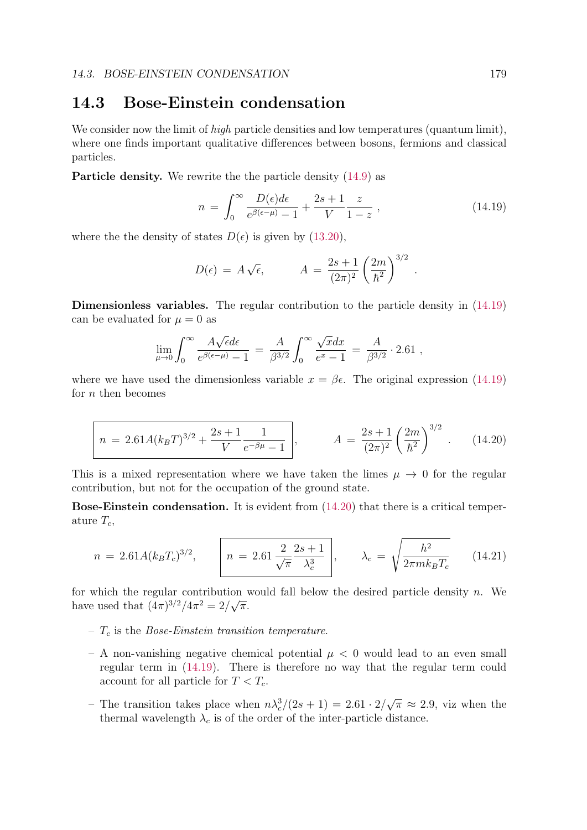## 14.3 Bose-Einstein condensation

We consider now the limit of *high* particle densities and low temperatures (quantum limit), where one finds important qualitative differences between bosons, fermions and classical particles.

Particle density. We rewrite the the particle density (14.9) as

$$
n = \int_0^\infty \frac{D(\epsilon)d\epsilon}{e^{\beta(\epsilon-\mu)} - 1} + \frac{2s+1}{V} \frac{z}{1-z} , \qquad (14.19)
$$

.

where the the density of states  $D(\epsilon)$  is given by (13.20),

$$
D(\epsilon) = A\sqrt{\epsilon}, \qquad A = \frac{2s+1}{(2\pi)^2} \left(\frac{2m}{\hbar^2}\right)^{3/2}
$$

Dimensionless variables. The regular contribution to the particle density in (14.19) can be evaluated for  $\mu = 0$  as

$$
\lim_{\mu \to 0} \int_0^\infty \frac{A\sqrt{\epsilon} d\epsilon}{e^{\beta(\epsilon - \mu)} - 1} = \frac{A}{\beta^{3/2}} \int_0^\infty \frac{\sqrt{x} dx}{e^x - 1} = \frac{A}{\beta^{3/2}} \cdot 2.61 ,
$$

where we have used the dimensionless variable  $x = \beta \epsilon$ . The original expression (14.19) for  $n$  then becomes

$$
n = 2.61A(k_BT)^{3/2} + \frac{2s+1}{V} \frac{1}{e^{-\beta\mu} - 1}, \qquad A = \frac{2s+1}{(2\pi)^2} \left(\frac{2m}{\hbar^2}\right)^{3/2}.
$$
 (14.20)

This is a mixed representation where we have taken the limes  $\mu \to 0$  for the regular contribution, but not for the occupation of the ground state.

Bose-Einstein condensation. It is evident from (14.20) that there is a critical temperature  $T_c$ ,

$$
n = 2.61A(k_BT_c)^{3/2}, \qquad \boxed{n = 2.61\,\frac{2}{\sqrt{\pi}}\frac{2s+1}{\lambda_c^3}}, \qquad \lambda_c = \sqrt{\frac{h^2}{2\pi mk_BT_c}} \qquad (14.21)
$$

for which the regular contribution would fall below the desired particle density  $n$ . We have used that  $(4\pi)^{3/2}/4\pi^2 = 2/\sqrt{\pi}$ .

- $T_c$  is the *Bose-Einstein transition temperature*.
- A non-vanishing negative chemical potential  $\mu < 0$  would lead to an even small regular term in (14.19). There is therefore no way that the regular term could account for all particle for  $T < T_c$ .
- The transition takes place when  $n\lambda_c^3/(2s+1) = 2.61 \cdot 2/\sqrt{\pi} \approx 2.9$ , viz when the thermal wavelength  $\lambda_c$  is of the order of the inter-particle distance.